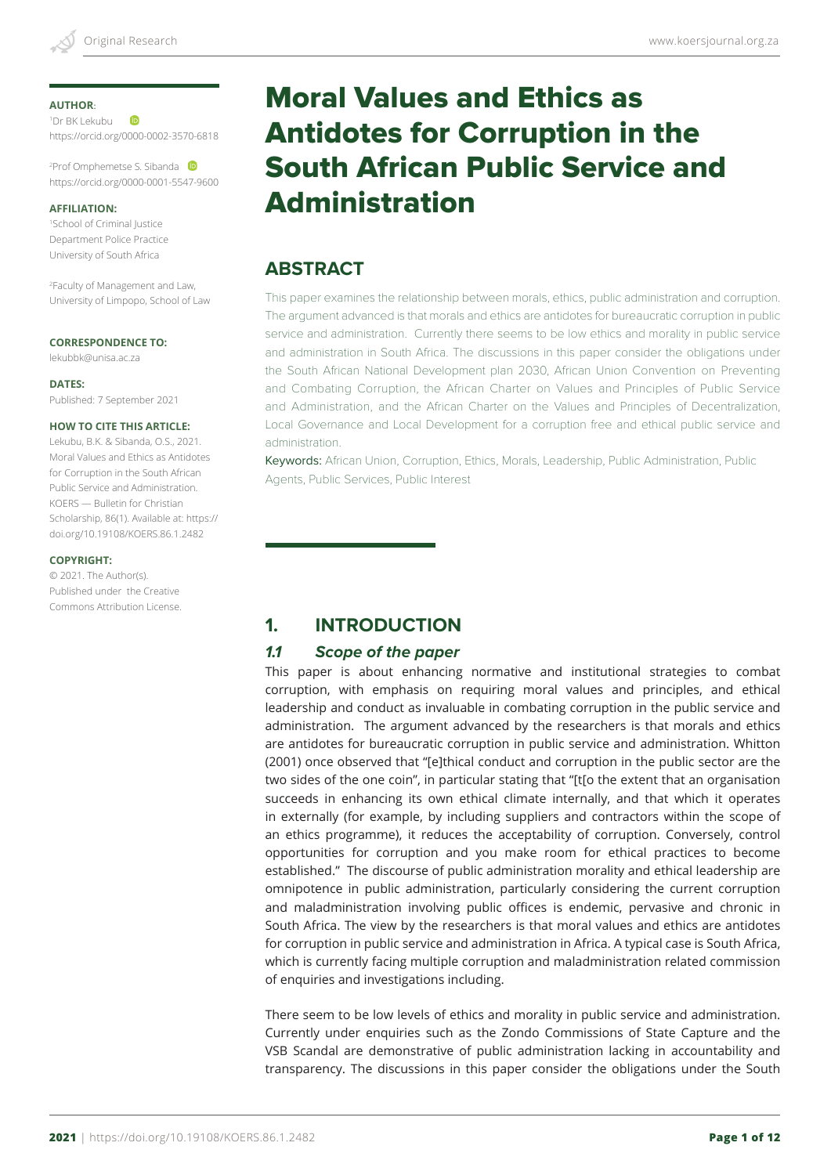#### **AUTHOR**:

**ID** 1 Dr BK Lekubu https://orcid.org/0000-0002-3570-6818

2 Prof Omphemetse S. Sibanda https://orcid.org/0000-0001-5547-9600

#### **AFFILIATION:**

1 School of Criminal Justice Department Police Practice University of South Africa

2 Faculty of Management and Law, University of Limpopo, School of Law

#### **CORRESPONDENCE TO:**

lekubbk@unisa.ac.za

**DATES:** Published: 7 September 2021

#### **HOW TO CITE THIS ARTICLE:**

Lekubu, B.K. & Sibanda, O.S., 2021. Moral Values and Ethics as Antidotes for Corruption in the South African Public Service and Administration. KOERS — Bulletin for Christian Scholarship, 86(1). Available at: https:// doi.org/10.19108/KOERS.86.1.2482

#### **COPYRIGHT:**

© 2021. The Author(s). Published under the Creative Commons Attribution License.

# Moral Values and Ethics as Antidotes for Corruption in the South African Public Service and Administration

# **ABSTRACT**

This paper examines the relationship between morals, ethics, public administration and corruption. The argument advanced is that morals and ethics are antidotes for bureaucratic corruption in public service and administration. Currently there seems to be low ethics and morality in public service and administration in South Africa. The discussions in this paper consider the obligations under the South African National Development plan 2030, African Union Convention on Preventing and Combating Corruption, the African Charter on Values and Principles of Public Service and Administration, and the African Charter on the Values and Principles of Decentralization, Local Governance and Local Development for a corruption free and ethical public service and administration.

Keywords: African Union, Corruption, Ethics, Morals, Leadership, Public Administration, Public Agents, Public Services, Public Interest

# **1. INTRODUCTION**

### *1.1 Scope of the paper*

This paper is about enhancing normative and institutional strategies to combat corruption, with emphasis on requiring moral values and principles, and ethical leadership and conduct as invaluable in combating corruption in the public service and administration. The argument advanced by the researchers is that morals and ethics are antidotes for bureaucratic corruption in public service and administration. Whitton (2001) once observed that "[e]thical conduct and corruption in the public sector are the two sides of the one coin", in particular stating that "[t[o the extent that an organisation succeeds in enhancing its own ethical climate internally, and that which it operates in externally (for example, by including suppliers and contractors within the scope of an ethics programme), it reduces the acceptability of corruption. Conversely, control opportunities for corruption and you make room for ethical practices to become established." The discourse of public administration morality and ethical leadership are omnipotence in public administration, particularly considering the current corruption and maladministration involving public offices is endemic, pervasive and chronic in South Africa. The view by the researchers is that moral values and ethics are antidotes for corruption in public service and administration in Africa. A typical case is South Africa, which is currently facing multiple corruption and maladministration related commission of enquiries and investigations including.

There seem to be low levels of ethics and morality in public service and administration. Currently under enquiries such as the Zondo Commissions of State Capture and the VSB Scandal are demonstrative of public administration lacking in accountability and transparency. The discussions in this paper consider the obligations under the South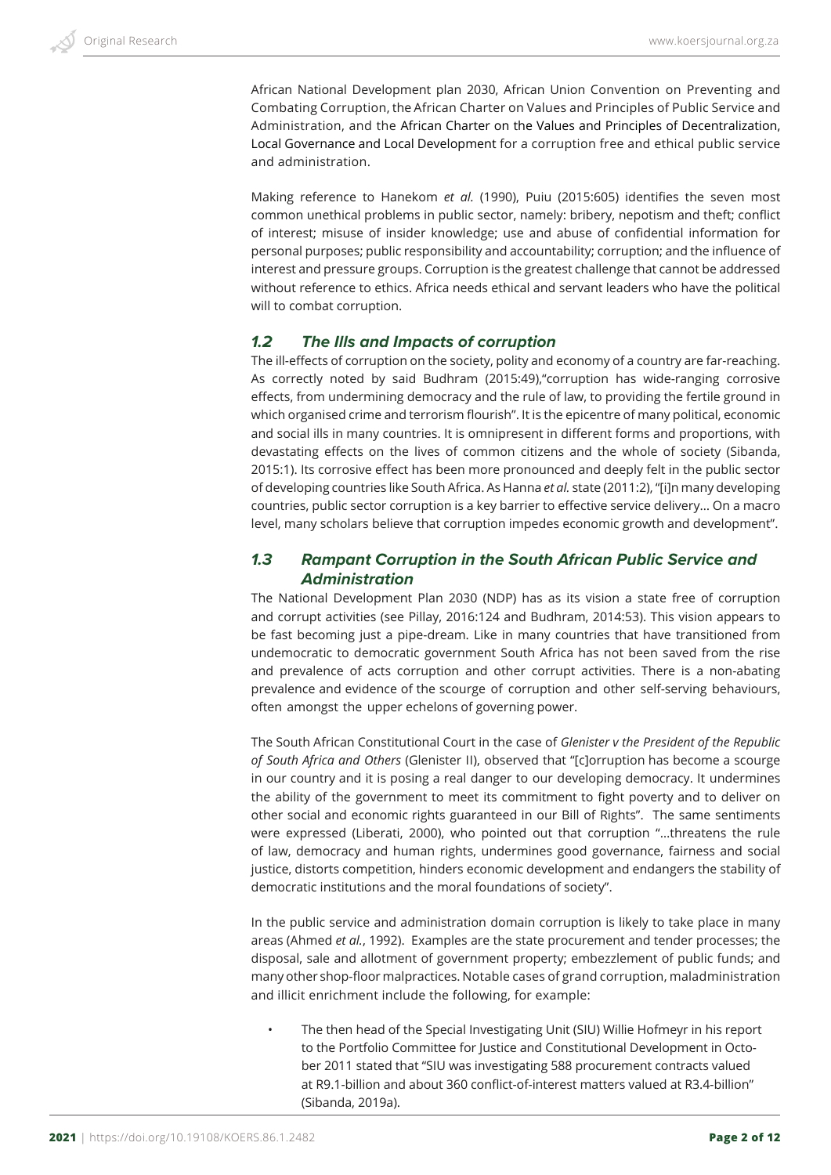African National Development plan 2030, African Union Convention on Preventing and Combating Corruption, the African Charter on Values and Principles of Public Service and Administration, and the African Charter on the Values and Principles of Decentralization, Local Governance and Local Development for a corruption free and ethical public service and administration.

Making reference to Hanekom *et al.* (1990), Puiu (2015:605) identifies the seven most common unethical problems in public sector, namely: bribery, nepotism and theft; conflict of interest; misuse of insider knowledge; use and abuse of confidential information for personal purposes; public responsibility and accountability; corruption; and the influence of interest and pressure groups. Corruption is the greatest challenge that cannot be addressed without reference to ethics. Africa needs ethical and servant leaders who have the political will to combat corruption.

### *1.2 The Ills and Impacts of corruption*

The ill-effects of corruption on the society, polity and economy of a country are far-reaching. As correctly noted by said Budhram (2015:49),"corruption has wide-ranging corrosive effects, from undermining democracy and the rule of law, to providing the fertile ground in which organised crime and terrorism flourish". It is the epicentre of many political, economic and social ills in many countries. It is omnipresent in different forms and proportions, with devastating effects on the lives of common citizens and the whole of society (Sibanda, 2015:1). Its corrosive effect has been more pronounced and deeply felt in the public sector of developing countries like South Africa. As Hanna *et al.* state (2011:2), "[i]n many developing countries, public sector corruption is a key barrier to effective service delivery… On a macro level, many scholars believe that corruption impedes economic growth and development".

# *1.3 Rampant Corruption in the South African Public Service and Administration*

The National Development Plan 2030 (NDP) has as its vision a state free of corruption and corrupt activities (see Pillay, 2016:124 and Budhram, 2014:53). This vision appears to be fast becoming just a pipe-dream. Like in many countries that have transitioned from undemocratic to democratic government South Africa has not been saved from the rise and prevalence of acts corruption and other corrupt activities. There is a non-abating prevalence and evidence of the scourge of corruption and other self-serving behaviours, often amongst the upper echelons of governing power.

The South African Constitutional Court in the case of *Glenister v the President of the Republic of South Africa and Others* (Glenister II), observed that "[c]orruption has become a scourge in our country and it is posing a real danger to our developing democracy. It undermines the ability of the government to meet its commitment to fight poverty and to deliver on other social and economic rights guaranteed in our Bill of Rights". The same sentiments were expressed (Liberati, 2000), who pointed out that corruption "…threatens the rule of law, democracy and human rights, undermines good governance, fairness and social justice, distorts competition, hinders economic development and endangers the stability of democratic institutions and the moral foundations of society".

In the public service and administration domain corruption is likely to take place in many areas (Ahmed *et al.*, 1992). Examples are the state procurement and tender processes; the disposal, sale and allotment of government property; embezzlement of public funds; and many other shop-floor malpractices. Notable cases of grand corruption, maladministration and illicit enrichment include the following, for example:

• The then head of the Special Investigating Unit (SIU) Willie Hofmeyr in his report to the Portfolio Committee for Justice and Constitutional Development in October 2011 stated that "SIU was investigating 588 procurement contracts valued at R9.1-billion and about 360 conflict-of-interest matters valued at R3.4-billion" (Sibanda, 2019a).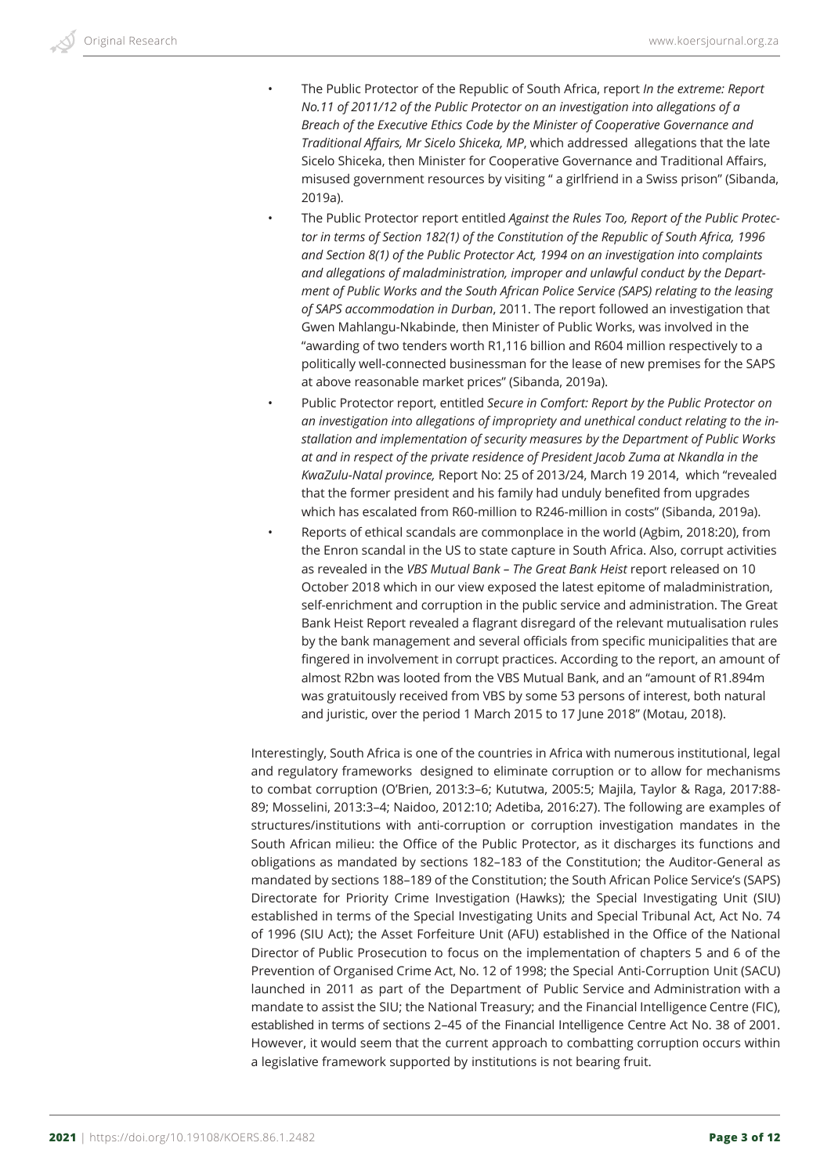- The Public Protector of the Republic of South Africa, report *In the extreme: Report No.11 of 2011/12 of the Public Protector on an investigation into allegations of a Breach of the Executive Ethics Code by the Minister of Cooperative Governance and Traditional Affairs, Mr Sicelo Shiceka, MP*, which addressed allegations that the late Sicelo Shiceka, then Minister for Cooperative Governance and Traditional Affairs, misused government resources by visiting " a girlfriend in a Swiss prison" (Sibanda, 2019a).
- The Public Protector report entitled *Against the Rules Too, Report of the Public Protector in terms of Section 182(1) of the Constitution of the Republic of South Africa, 1996 and Section 8(1) of the Public Protector Act, 1994 on an investigation into complaints and allegations of maladministration, improper and unlawful conduct by the Department of Public Works and the South African Police Service (SAPS) relating to the leasing of SAPS accommodation in Durban*, 2011. The report followed an investigation that Gwen Mahlangu-Nkabinde, then Minister of Public Works, was involved in the "awarding of two tenders worth R1,116 billion and R604 million respectively to a politically well-connected businessman for the lease of new premises for the SAPS at above reasonable market prices" (Sibanda, 2019a).
- Public Protector report, entitled *Secure in Comfort: Report by the Public Protector on an investigation into allegations of impropriety and unethical conduct relating to the installation and implementation of security measures by the Department of Public Works at and in respect of the private residence of President Jacob Zuma at Nkandla in the KwaZulu-Natal province,* Report No: 25 of 2013/24, March 19 2014, which "revealed that the former president and his family had unduly benefited from upgrades which has escalated from R60-million to R246-million in costs" (Sibanda, 2019a).
- Reports of ethical scandals are commonplace in the world (Agbim, 2018:20), from the Enron scandal in the US to state capture in South Africa. Also, corrupt activities as revealed in the *VBS Mutual Bank – The Great Bank Heist* report released on 10 October 2018 which in our view exposed the latest epitome of maladministration, self-enrichment and corruption in the public service and administration. The Great Bank Heist Report revealed a flagrant disregard of the relevant mutualisation rules by the bank management and several officials from specific municipalities that are fingered in involvement in corrupt practices. According to the report, an amount of almost R2bn was looted from the VBS Mutual Bank, and an "amount of R1.894m was gratuitously received from VBS by some 53 persons of interest, both natural and juristic, over the period 1 March 2015 to 17 June 2018" (Motau, 2018).

Interestingly, South Africa is one of the countries in Africa with numerous institutional, legal and regulatory frameworks designed to eliminate corruption or to allow for mechanisms to combat corruption (O'Brien, 2013:3–6; Kututwa, 2005:5; Majila, Taylor & Raga, 2017:88- 89; Mosselini, 2013:3–4; Naidoo, 2012:10; Adetiba, 2016:27). The following are examples of structures/institutions with anti-corruption or corruption investigation mandates in the South African milieu: the Office of the Public Protector, as it discharges its functions and obligations as mandated by sections 182–183 of the Constitution; the Auditor-General as mandated by sections 188–189 of the Constitution; the South African Police Service's (SAPS) Directorate for Priority Crime Investigation (Hawks); the Special Investigating Unit (SIU) established in terms of the Special Investigating Units and Special Tribunal Act, Act No. 74 of 1996 (SIU Act); the Asset Forfeiture Unit (AFU) established in the Office of the National Director of Public Prosecution to focus on the implementation of chapters 5 and 6 of the Prevention of Organised Crime Act, No. 12 of 1998; the Special Anti-Corruption Unit (SACU) launched in 2011 as part of the Department of Public Service and Administration with a mandate to assist the SIU; the National Treasury; and the Financial Intelligence Centre (FIC), established in terms of sections 2–45 of the Financial Intelligence Centre Act No. 38 of 2001. However, it would seem that the current approach to combatting corruption occurs within a legislative framework supported by institutions is not bearing fruit.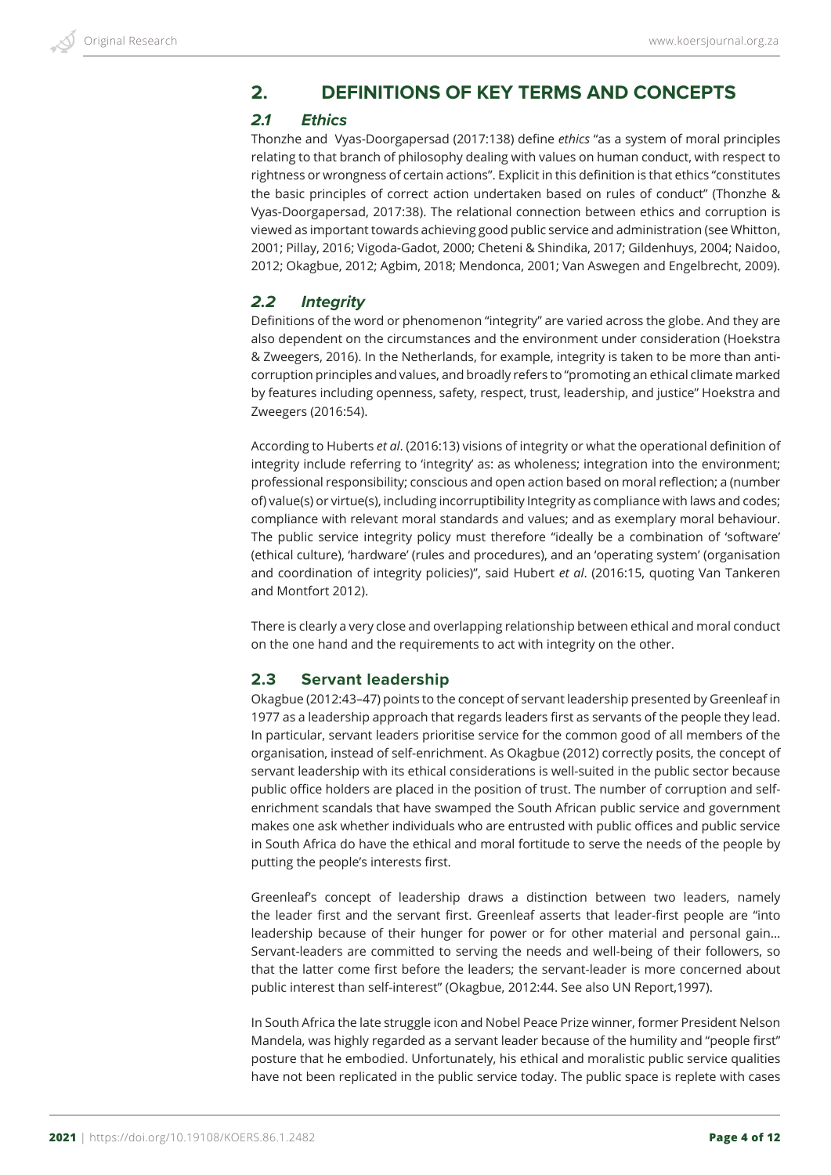# **2. DEFINITIONS OF KEY TERMS AND CONCEPTS**

# *2.1 Ethics*

Thonzhe and Vyas-Doorgapersad (2017:138) define *ethics* "as a system of moral principles relating to that branch of philosophy dealing with values on human conduct, with respect to rightness or wrongness of certain actions". Explicit in this definition is that ethics "constitutes the basic principles of correct action undertaken based on rules of conduct" (Thonzhe & Vyas-Doorgapersad, 2017:38). The relational connection between ethics and corruption is viewed as important towards achieving good public service and administration (see Whitton, 2001; Pillay, 2016; Vigoda-Gadot, 2000; Cheteni & Shindika, 2017; Gildenhuys, 2004; Naidoo, 2012; Okagbue, 2012; Agbim, 2018; Mendonca, 2001; Van Aswegen and Engelbrecht, 2009).

# *2.2 Integrity*

Definitions of the word or phenomenon "integrity" are varied across the globe. And they are also dependent on the circumstances and the environment under consideration (Hoekstra & Zweegers, 2016). In the Netherlands, for example, integrity is taken to be more than anticorruption principles and values, and broadly refers to "promoting an ethical climate marked by features including openness, safety, respect, trust, leadership, and justice" Hoekstra and Zweegers (2016:54).

According to Huberts *et al*. (2016:13) visions of integrity or what the operational definition of integrity include referring to 'integrity' as: as wholeness; integration into the environment; professional responsibility; conscious and open action based on moral reflection; a (number of) value(s) or virtue(s), including incorruptibility Integrity as compliance with laws and codes; compliance with relevant moral standards and values; and as exemplary moral behaviour. The public service integrity policy must therefore "ideally be a combination of 'software' (ethical culture), 'hardware' (rules and procedures), and an 'operating system' (organisation and coordination of integrity policies)", said Hubert *et al*. (2016:15, quoting Van Tankeren and Montfort 2012).

There is clearly a very close and overlapping relationship between ethical and moral conduct on the one hand and the requirements to act with integrity on the other.

# **2.3 Servant leadership**

Okagbue (2012:43–47) points to the concept of servant leadership presented by Greenleaf in 1977 as a leadership approach that regards leaders first as servants of the people they lead. In particular, servant leaders prioritise service for the common good of all members of the organisation, instead of self-enrichment. As Okagbue (2012) correctly posits, the concept of servant leadership with its ethical considerations is well-suited in the public sector because public office holders are placed in the position of trust. The number of corruption and selfenrichment scandals that have swamped the South African public service and government makes one ask whether individuals who are entrusted with public offices and public service in South Africa do have the ethical and moral fortitude to serve the needs of the people by putting the people's interests first.

Greenleaf's concept of leadership draws a distinction between two leaders, namely the leader first and the servant first. Greenleaf asserts that leader-first people are "into leadership because of their hunger for power or for other material and personal gain… Servant-leaders are committed to serving the needs and well-being of their followers, so that the latter come first before the leaders; the servant-leader is more concerned about public interest than self-interest" (Okagbue, 2012:44. See also UN Report,1997).

In South Africa the late struggle icon and Nobel Peace Prize winner, former President Nelson Mandela, was highly regarded as a servant leader because of the humility and "people first" posture that he embodied. Unfortunately, his ethical and moralistic public service qualities have not been replicated in the public service today. The public space is replete with cases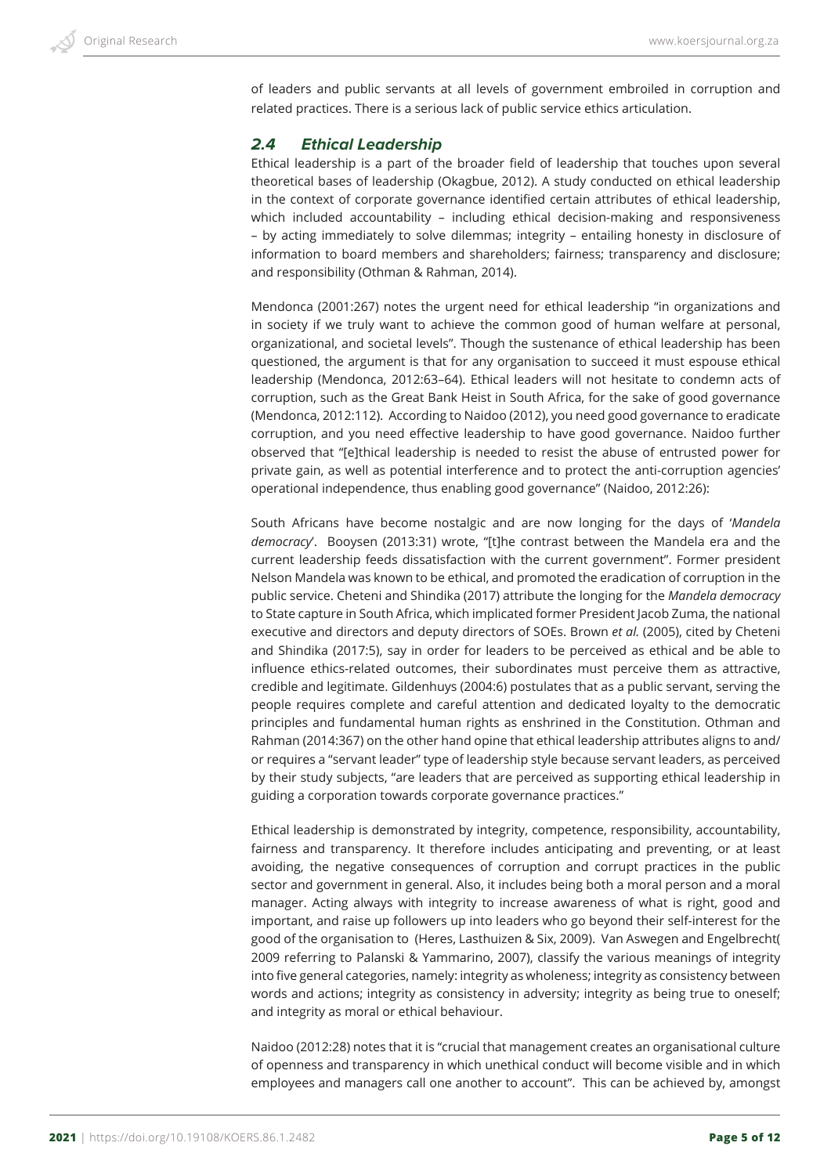of leaders and public servants at all levels of government embroiled in corruption and related practices. There is a serious lack of public service ethics articulation.

### *2.4 Ethical Leadership*

Ethical leadership is a part of the broader field of leadership that touches upon several theoretical bases of leadership (Okagbue, 2012). A study conducted on ethical leadership in the context of corporate governance identified certain attributes of ethical leadership, which included accountability – including ethical decision-making and responsiveness – by acting immediately to solve dilemmas; integrity – entailing honesty in disclosure of information to board members and shareholders; fairness; transparency and disclosure; and responsibility (Othman & Rahman, 2014).

Mendonca (2001:267) notes the urgent need for ethical leadership "in organizations and in society if we truly want to achieve the common good of human welfare at personal, organizational, and societal levels". Though the sustenance of ethical leadership has been questioned, the argument is that for any organisation to succeed it must espouse ethical leadership (Mendonca, 2012:63–64). Ethical leaders will not hesitate to condemn acts of corruption, such as the Great Bank Heist in South Africa, for the sake of good governance (Mendonca, 2012:112). According to Naidoo (2012), you need good governance to eradicate corruption, and you need effective leadership to have good governance. Naidoo further observed that "[e]thical leadership is needed to resist the abuse of entrusted power for private gain, as well as potential interference and to protect the anti-corruption agencies' operational independence, thus enabling good governance" (Naidoo, 2012:26):

South Africans have become nostalgic and are now longing for the days of '*Mandela democracy*'. Booysen (2013:31) wrote, "[t]he contrast between the Mandela era and the current leadership feeds dissatisfaction with the current government". Former president Nelson Mandela was known to be ethical, and promoted the eradication of corruption in the public service. Cheteni and Shindika (2017) attribute the longing for the *Mandela democracy* to State capture in South Africa, which implicated former President Jacob Zuma, the national executive and directors and deputy directors of SOEs. Brown *et al.* (2005), cited by Cheteni and Shindika (2017:5), say in order for leaders to be perceived as ethical and be able to influence ethics-related outcomes, their subordinates must perceive them as attractive, credible and legitimate. Gildenhuys (2004:6) postulates that as a public servant, serving the people requires complete and careful attention and dedicated loyalty to the democratic principles and fundamental human rights as enshrined in the Constitution. Othman and Rahman (2014:367) on the other hand opine that ethical leadership attributes aligns to and/ or requires a "servant leader" type of leadership style because servant leaders, as perceived by their study subjects, "are leaders that are perceived as supporting ethical leadership in guiding a corporation towards corporate governance practices."

Ethical leadership is demonstrated by integrity, competence, responsibility, accountability, fairness and transparency. It therefore includes anticipating and preventing, or at least avoiding, the negative consequences of corruption and corrupt practices in the public sector and government in general. Also, it includes being both a moral person and a moral manager. Acting always with integrity to increase awareness of what is right, good and important, and raise up followers up into leaders who go beyond their self-interest for the good of the organisation to (Heres, Lasthuizen & Six, 2009). Van Aswegen and Engelbrecht( 2009 referring to Palanski & Yammarino, 2007), classify the various meanings of integrity into five general categories, namely: integrity as wholeness; integrity as consistency between words and actions; integrity as consistency in adversity; integrity as being true to oneself; and integrity as moral or ethical behaviour.

Naidoo (2012:28) notes that it is "crucial that management creates an organisational culture of openness and transparency in which unethical conduct will become visible and in which employees and managers call one another to account". This can be achieved by, amongst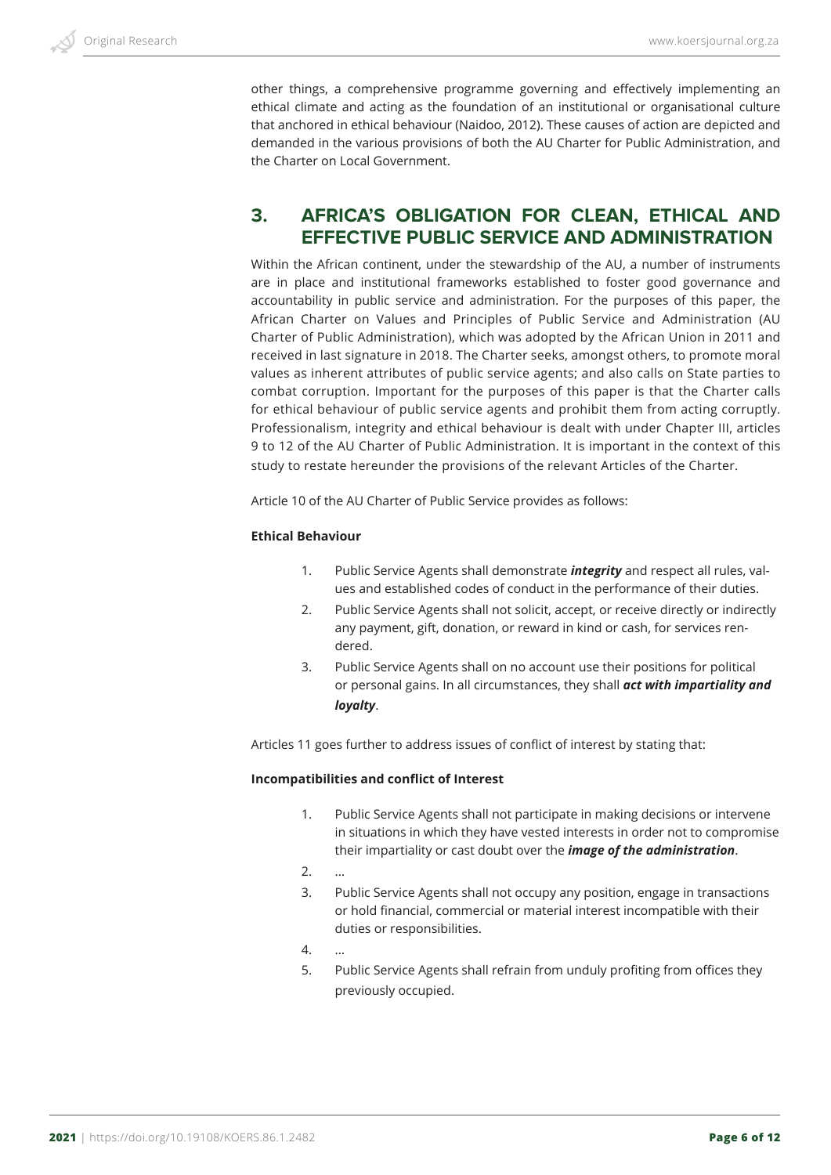other things, a comprehensive programme governing and effectively implementing an ethical climate and acting as the foundation of an institutional or organisational culture that anchored in ethical behaviour (Naidoo, 2012). These causes of action are depicted and demanded in the various provisions of both the AU Charter for Public Administration, and the Charter on Local Government.

# **3. AFRICA'S OBLIGATION FOR CLEAN, ETHICAL AND EFFECTIVE PUBLIC SERVICE AND ADMINISTRATION**

Within the African continent, under the stewardship of the AU, a number of instruments are in place and institutional frameworks established to foster good governance and accountability in public service and administration. For the purposes of this paper, the African Charter on Values and Principles of Public Service and Administration (AU Charter of Public Administration), which was adopted by the African Union in 2011 and received in last signature in 2018. The Charter seeks, amongst others, to promote moral values as inherent attributes of public service agents; and also calls on State parties to combat corruption. Important for the purposes of this paper is that the Charter calls for ethical behaviour of public service agents and prohibit them from acting corruptly. Professionalism, integrity and ethical behaviour is dealt with under Chapter III, articles 9 to 12 of the AU Charter of Public Administration. It is important in the context of this study to restate hereunder the provisions of the relevant Articles of the Charter.

Article 10 of the AU Charter of Public Service provides as follows:

#### **Ethical Behaviour**

- 1. Public Service Agents shall demonstrate *integrity* and respect all rules, values and established codes of conduct in the performance of their duties.
- 2. Public Service Agents shall not solicit, accept, or receive directly or indirectly any payment, gift, donation, or reward in kind or cash, for services rendered.
- 3. Public Service Agents shall on no account use their positions for political or personal gains. In all circumstances, they shall *act with impartiality and loyalty*.

Articles 11 goes further to address issues of conflict of interest by stating that:

#### **Incompatibilities and conflict of Interest**

- 1. Public Service Agents shall not participate in making decisions or intervene in situations in which they have vested interests in order not to compromise their impartiality or cast doubt over the *image of the administration*.
- 2. …
- 3. Public Service Agents shall not occupy any position, engage in transactions or hold financial, commercial or material interest incompatible with their duties or responsibilities.
- 4. …
- 5. Public Service Agents shall refrain from unduly profiting from offices they previously occupied.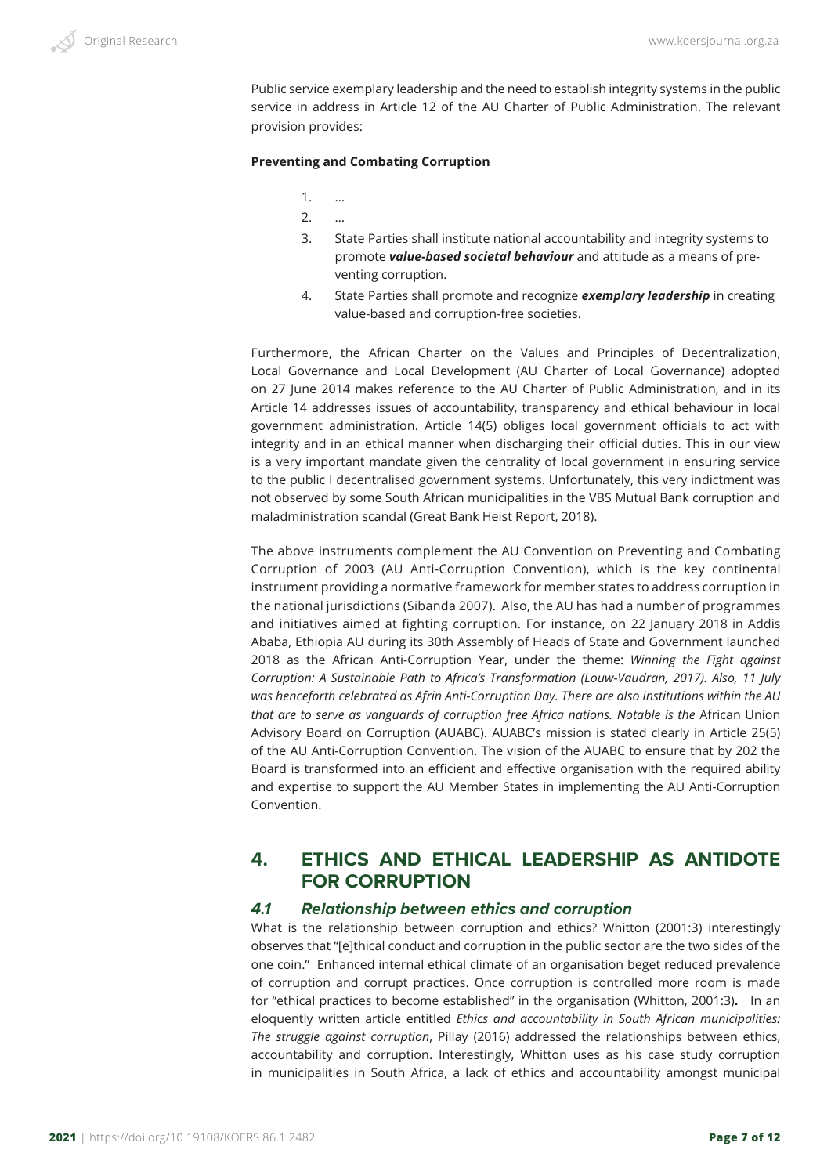Public service exemplary leadership and the need to establish integrity systems in the public service in address in Article 12 of the AU Charter of Public Administration. The relevant provision provides:

#### **Preventing and Combating Corruption**

- 1. …
- $2<sub>1</sub>$
- 3. State Parties shall institute national accountability and integrity systems to promote *value-based societal behaviour* and attitude as a means of preventing corruption.
- 4. State Parties shall promote and recognize *exemplary leadership* in creating value-based and corruption-free societies.

Furthermore, the African Charter on the Values and Principles of Decentralization, Local Governance and Local Development (AU Charter of Local Governance) adopted on 27 June 2014 makes reference to the AU Charter of Public Administration, and in its Article 14 addresses issues of accountability, transparency and ethical behaviour in local government administration. Article 14(5) obliges local government officials to act with integrity and in an ethical manner when discharging their official duties. This in our view is a very important mandate given the centrality of local government in ensuring service to the public I decentralised government systems. Unfortunately, this very indictment was not observed by some South African municipalities in the VBS Mutual Bank corruption and maladministration scandal (Great Bank Heist Report, 2018).

The above instruments complement the AU Convention on Preventing and Combating Corruption of 2003 (AU Anti-Corruption Convention), which is the key continental instrument providing a normative framework for member states to address corruption in the national jurisdictions (Sibanda 2007). Also, the AU has had a number of programmes and initiatives aimed at fighting corruption. For instance, on 22 January 2018 in Addis Ababa, Ethiopia AU during its 30th Assembly of Heads of State and Government launched 2018 as the African Anti-Corruption Year, under the theme: *Winning the Fight against Corruption: A Sustainable Path to Africa's Transformation (Louw-Vaudran, 2017). Also, 11 July was henceforth celebrated as Afrin Anti-Corruption Day. There are also institutions within the AU*  that are to serve as vanguards of corruption free Africa nations. Notable is the African Union Advisory Board on Corruption (AUABC). AUABC's mission is stated clearly in Article 25(5) of the AU Anti-Corruption Convention. The vision of the AUABC to ensure that by 202 the Board is transformed into an efficient and effective organisation with the required ability and expertise to support the AU Member States in implementing the AU Anti-Corruption Convention.

# **4. ETHICS AND ETHICAL LEADERSHIP AS ANTIDOTE FOR CORRUPTION**

### *4.1 Relationship between ethics and corruption*

What is the relationship between corruption and ethics? Whitton (2001:3) interestingly observes that "[e]thical conduct and corruption in the public sector are the two sides of the one coin." Enhanced internal ethical climate of an organisation beget reduced prevalence of corruption and corrupt practices. Once corruption is controlled more room is made for "ethical practices to become established" in the organisation (Whitton, 2001:3)**.** In an eloquently written article entitled *Ethics and accountability in South African municipalities: The struggle against corruption*, Pillay (2016) addressed the relationships between ethics, accountability and corruption. Interestingly, Whitton uses as his case study corruption in municipalities in South Africa, a lack of ethics and accountability amongst municipal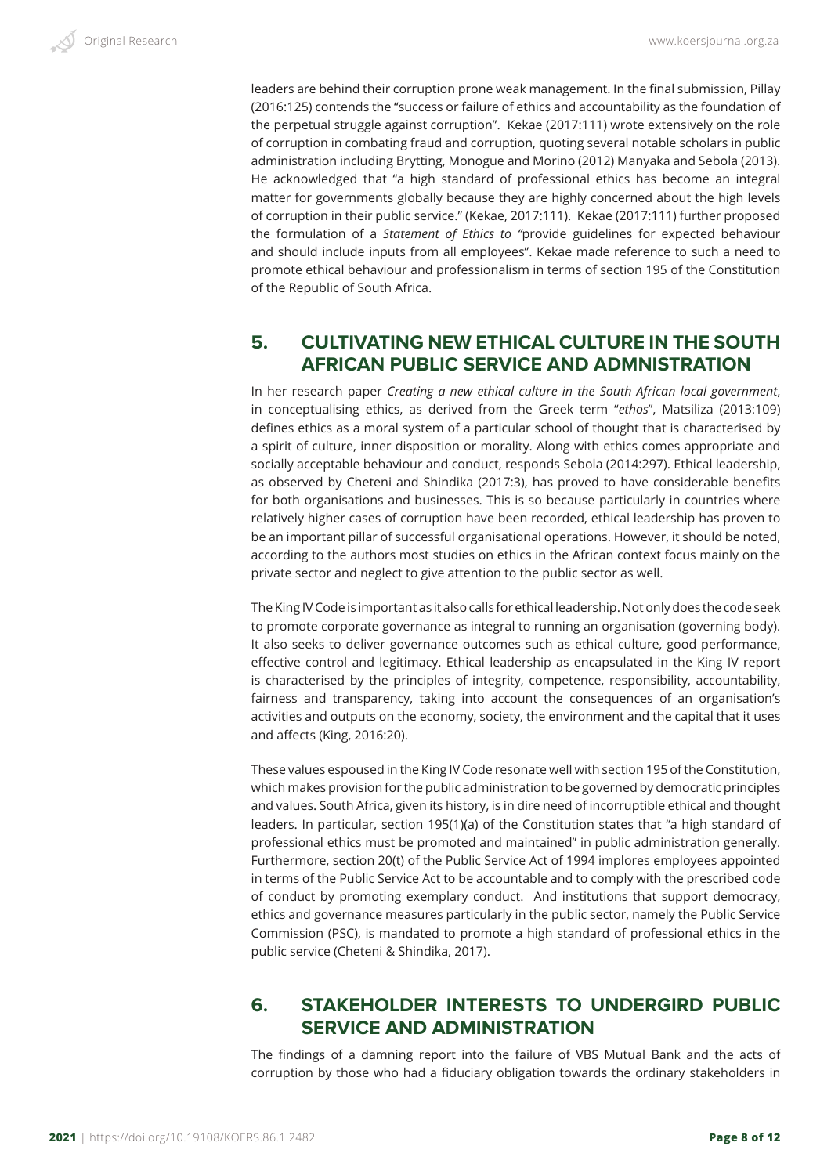leaders are behind their corruption prone weak management. In the final submission, Pillay (2016:125) contends the "success or failure of ethics and accountability as the foundation of the perpetual struggle against corruption". Kekae (2017:111) wrote extensively on the role of corruption in combating fraud and corruption, quoting several notable scholars in public administration including Brytting, Monogue and Morino (2012) Manyaka and Sebola (2013). He acknowledged that "a high standard of professional ethics has become an integral matter for governments globally because they are highly concerned about the high levels of corruption in their public service." (Kekae, 2017:111). Kekae (2017:111) further proposed the formulation of a *Statement of Ethics to "*provide guidelines for expected behaviour and should include inputs from all employees". Kekae made reference to such a need to promote ethical behaviour and professionalism in terms of section 195 of the Constitution of the Republic of South Africa.

# **5. CULTIVATING NEW ETHICAL CULTURE IN THE SOUTH AFRICAN PUBLIC SERVICE AND ADMNISTRATION**

In her research paper *Creating a new ethical culture in the South African local government*, in conceptualising ethics, as derived from the Greek term "*ethos*", Matsiliza (2013:109) defines ethics as a moral system of a particular school of thought that is characterised by a spirit of culture, inner disposition or morality. Along with ethics comes appropriate and socially acceptable behaviour and conduct, responds Sebola (2014:297). Ethical leadership, as observed by Cheteni and Shindika (2017:3), has proved to have considerable benefits for both organisations and businesses. This is so because particularly in countries where relatively higher cases of corruption have been recorded, ethical leadership has proven to be an important pillar of successful organisational operations. However, it should be noted, according to the authors most studies on ethics in the African context focus mainly on the private sector and neglect to give attention to the public sector as well.

The King IV Code is important as it also calls for ethical leadership. Not only does the code seek to promote corporate governance as integral to running an organisation (governing body). It also seeks to deliver governance outcomes such as ethical culture, good performance, effective control and legitimacy. Ethical leadership as encapsulated in the King IV report is characterised by the principles of integrity, competence, responsibility, accountability, fairness and transparency, taking into account the consequences of an organisation's activities and outputs on the economy, society, the environment and the capital that it uses and affects (King, 2016:20).

These values espoused in the King IV Code resonate well with section 195 of the Constitution, which makes provision for the public administration to be governed by democratic principles and values. South Africa, given its history, is in dire need of incorruptible ethical and thought leaders. In particular, section 195(1)(a) of the Constitution states that "a high standard of professional ethics must be promoted and maintained" in public administration generally. Furthermore, section 20(t) of the Public Service Act of 1994 implores employees appointed in terms of the Public Service Act to be accountable and to comply with the prescribed code of conduct by promoting exemplary conduct. And institutions that support democracy, ethics and governance measures particularly in the public sector, namely the Public Service Commission (PSC), is mandated to promote a high standard of professional ethics in the public service (Cheteni & Shindika, 2017).

# **6. STAKEHOLDER INTERESTS TO UNDERGIRD PUBLIC SERVICE AND ADMINISTRATION**

The findings of a damning report into the failure of VBS Mutual Bank and the acts of corruption by those who had a fiduciary obligation towards the ordinary stakeholders in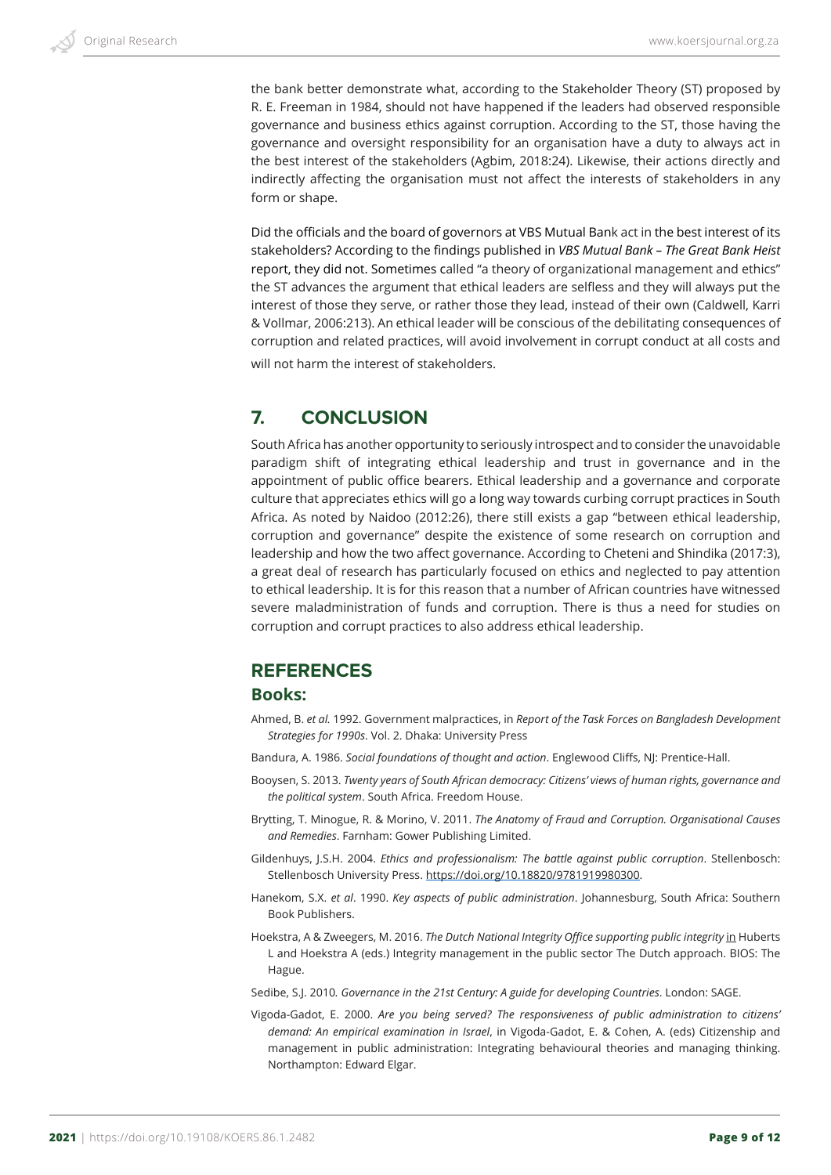the bank better demonstrate what, according to the Stakeholder Theory (ST) proposed by R. E. Freeman in 1984, should not have happened if the leaders had observed responsible governance and business ethics against corruption. According to the ST, those having the governance and oversight responsibility for an organisation have a duty to always act in the best interest of the stakeholders (Agbim, 2018:24). Likewise, their actions directly and indirectly affecting the organisation must not affect the interests of stakeholders in any form or shape.

Did the officials and the board of governors at VBS Mutual Bank act in the best interest of its stakeholders? According to the findings published in *VBS Mutual Bank – The Great Bank Heist* report, they did not. Sometimes called "a theory of organizational management and ethics" the ST advances the argument that ethical leaders are selfless and they will always put the interest of those they serve, or rather those they lead, instead of their own (Caldwell, Karri & Vollmar, 2006:213). An ethical leader will be conscious of the debilitating consequences of corruption and related practices, will avoid involvement in corrupt conduct at all costs and will not harm the interest of stakeholders.

# **7. CONCLUSION**

South Africa has another opportunity to seriously introspect and to consider the unavoidable paradigm shift of integrating ethical leadership and trust in governance and in the appointment of public office bearers. Ethical leadership and a governance and corporate culture that appreciates ethics will go a long way towards curbing corrupt practices in South Africa. As noted by Naidoo (2012:26), there still exists a gap "between ethical leadership, corruption and governance" despite the existence of some research on corruption and leadership and how the two affect governance. According to Cheteni and Shindika (2017:3), a great deal of research has particularly focused on ethics and neglected to pay attention to ethical leadership. It is for this reason that a number of African countries have witnessed severe maladministration of funds and corruption. There is thus a need for studies on corruption and corrupt practices to also address ethical leadership.

# **REFERENCES**

# **Books:**

- Ahmed, B. *et al.* 1992. Government malpractices, in *Report of the Task Forces on Bangladesh Development Strategies for 1990s*. Vol. 2. Dhaka: University Press
- Bandura, A. 1986. *Social foundations of thought and action*. Englewood Cliffs, NJ: Prentice-Hall.
- Booysen, S. 2013. *Twenty years of South African democracy: Citizens' views of human rights, governance and the political system*. South Africa. Freedom House.
- Brytting, T. Minogue, R. & Morino, V. 2011. *The Anatomy of Fraud and Corruption. Organisational Causes and Remedies*. Farnham: Gower Publishing Limited.
- Gildenhuys, J.S.H. 2004. *Ethics and professionalism: The battle against public corruption*. Stellenbosch: Stellenbosch University Press. https://doi.org/10.18820/9781919980300.
- Hanekom, S.X. *et al*. 1990. *Key aspects of public administration*. Johannesburg, South Africa: Southern Book Publishers.
- Hoekstra, A & Zweegers, M. 2016. *The Dutch National Integrity Office supporting public integrity* in Huberts L and Hoekstra A (eds.) Integrity management in the public sector The Dutch approach. BIOS: The Hague.

Sedibe, S.J. 2010*. Governance in the 21st Century: A guide for developing Countries*. London: SAGE.

Vigoda-Gadot, E. 2000. *Are you being served? The responsiveness of public administration to citizens' demand: An empirical examination in Israel*, in Vigoda-Gadot, E. & Cohen, A. (eds) Citizenship and management in public administration: Integrating behavioural theories and managing thinking. Northampton: Edward Elgar.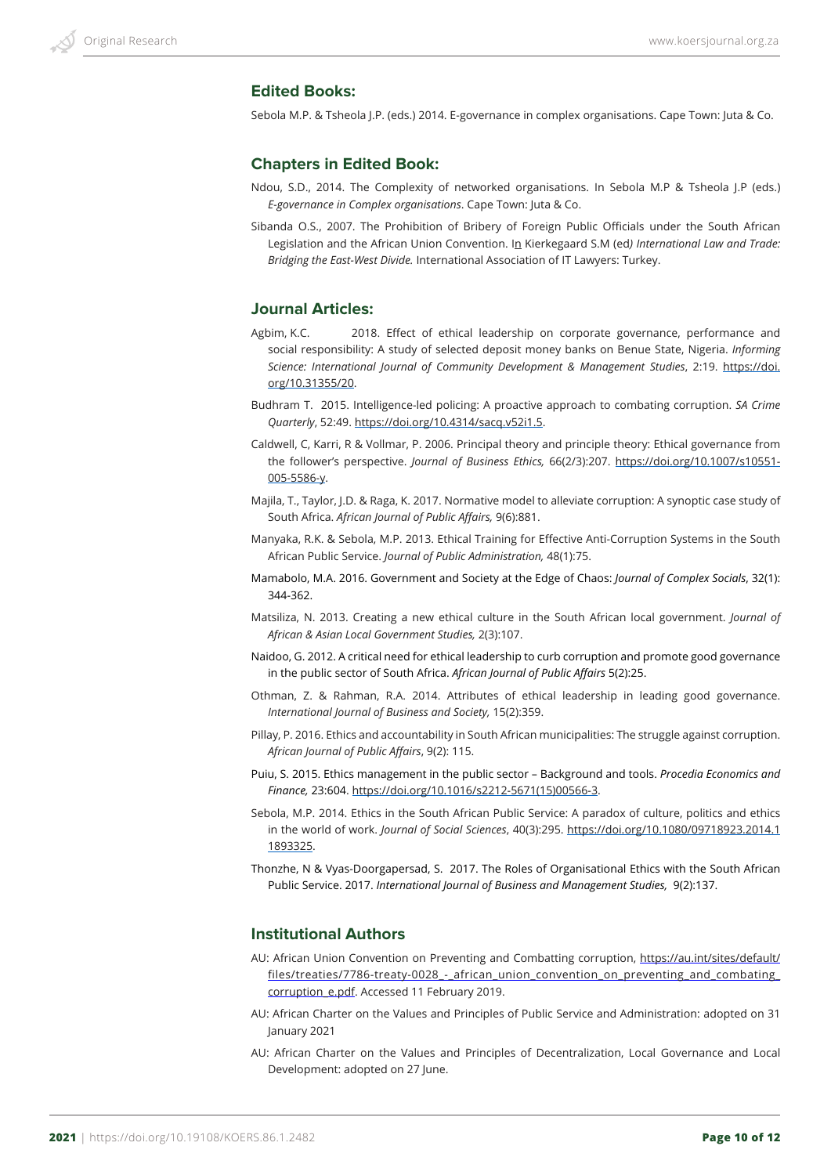### **Edited Books:**

Sebola M.P. & Tsheola J.P. (eds.) 2014. E-governance in complex organisations. Cape Town: Juta & Co.

### **Chapters in Edited Book:**

- Ndou, S.D., 2014. The Complexity of networked organisations. In Sebola M.P & Tsheola J.P (eds.) *E-governance in Complex organisations*. Cape Town: Juta & Co.
- Sibanda O.S., 2007. The Prohibition of Bribery of Foreign Public Officials under the South African Legislation and the African Union Convention. In Kierkegaard S.M (ed*) International Law and Trade: Bridging the East-West Divide.* International Association of IT Lawyers: Turkey.

### **Journal Articles:**

- Agbim, K.C. 2018. Effect of ethical leadership on corporate governance, performance and social responsibility: A study of selected deposit money banks on Benue State, Nigeria. *Informing Science: International Journal of Community Development & Management Studies*, 2:19. https://doi. org/10.31355/20.
- Budhram T. 2015. Intelligence-led policing: A proactive approach to combating corruption. *SA Crime Quarterly*, 52:49. https://doi.org/10.4314/sacq.v52i1.5.
- Caldwell, C, Karri, R & Vollmar, P. 2006. Principal theory and principle theory: Ethical governance from the follower's perspective. *Journal of Business Ethics,* 66(2/3):207. https://doi.org/10.1007/s10551- 005-5586-y.
- Majila, T., Taylor, J.D. & Raga, K. 2017. Normative model to alleviate corruption: A synoptic case study of South Africa. *African Journal of Public Affairs,* 9(6):881.
- Manyaka, R.K. & Sebola, M.P. 2013. Ethical Training for Effective Anti-Corruption Systems in the South African Public Service. *Journal of Public Administration,* 48(1):75.
- Mamabolo, M.A. 2016. Government and Society at the Edge of Chaos: *Journal of Complex Socials*, 32(1): 344-362.
- Matsiliza, N. 2013. Creating a new ethical culture in the South African local government. *Journal of African & Asian Local Government Studies,* 2(3):107.
- Naidoo, G. 2012. A critical need for ethical leadership to curb corruption and promote good governance in the public sector of South Africa. *African Journal of Public Affairs* 5(2):25.
- Othman, Z. & Rahman, R.A. 2014. Attributes of ethical leadership in leading good governance. *International Journal of Business and Society,* 15(2):359.
- Pillay, P. 2016. Ethics and accountability in South African municipalities: The struggle against corruption. *African Journal of Public Affairs*, 9(2): 115.
- Puiu, S. 2015. Ethics management in the public sector Background and tools. *Procedia Economics and Finance,* 23:604. https://doi.org/10.1016/s2212-5671(15)00566-3.
- Sebola, M.P. 2014. Ethics in the South African Public Service: A paradox of culture, politics and ethics in the world of work. *Journal of Social Sciences*, 40(3):295. https://doi.org/10.1080/09718923.2014.1 1893325.
- Thonzhe, N & Vyas-Doorgapersad, S. 2017. The Roles of Organisational Ethics with the South African Public Service. 2017. *International Journal of Business and Management Studies,* 9(2):137.

#### **Institutional Authors**

- AU: African Union Convention on Preventing and Combatting corruption, https://au.int/sites/default/ files/treaties/7786-treaty-0028 - african union convention on preventing and combating corruption\_e.pdf. Accessed 11 February 2019.
- AU: African Charter on the Values and Principles of Public Service and Administration: adopted on 31 January 2021
- AU: African Charter on the Values and Principles of Decentralization, Local Governance and Local Development: adopted on 27 June.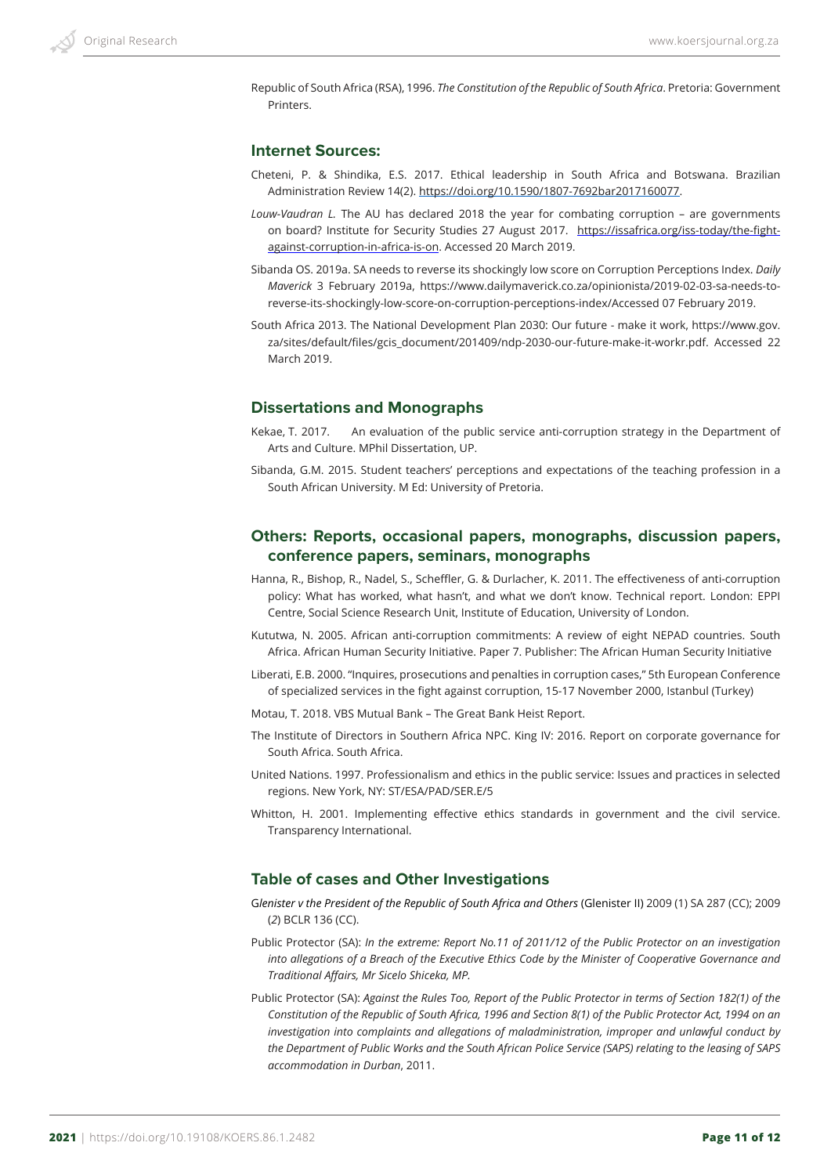Republic of South Africa (RSA), 1996. *The Constitution of the Republic of South Africa*. Pretoria: Government **Printers** 

### **Internet Sources:**

- Cheteni, P. & Shindika, E.S. 2017. Ethical leadership in South Africa and Botswana. Brazilian Administration Review 14(2). https://doi.org/10.1590/1807-7692bar2017160077.
- *Louw-Vaudran L.* The AU has declared 2018 the year for combating corruption are governments on board? Institute for Security Studies 27 August 2017. https://issafrica.org/iss-today/the-fightagainst-corruption-in-africa-is-on. Accessed 20 March 2019.
- Sibanda OS. 2019a. SA needs to reverse its shockingly low score on Corruption Perceptions Index. *Daily Maverick* 3 February 2019a, https://www.dailymaverick.co.za/opinionista/2019-02-03-sa-needs-toreverse-its-shockingly-low-score-on-corruption-perceptions-index/Accessed 07 February 2019.
- South Africa 2013. The National Development Plan 2030: Our future make it work, https://www.gov. za/sites/default/files/gcis\_document/201409/ndp-2030-our-future-make-it-workr.pdf. Accessed 22 March 2019.

### **Dissertations and Monographs**

- Kekae, T. 2017. An evaluation of the public service anti-corruption strategy in the Department of Arts and Culture. MPhil Dissertation, UP.
- Sibanda, G.M. 2015. Student teachers' perceptions and expectations of the teaching profession in a South African University. M Ed: University of Pretoria.

### **Others: Reports, occasional papers, monographs, discussion papers, conference papers, seminars, monographs**

- Hanna, R., Bishop, R., Nadel, S., Scheffler, G. & Durlacher, K. 2011. The effectiveness of anti-corruption policy: What has worked, what hasn't, and what we don't know. Technical report. London: EPPI Centre, Social Science Research Unit, Institute of Education, University of London.
- Kututwa, N. 2005. African anti-corruption commitments: A review of eight NEPAD countries. South Africa. African Human Security Initiative. Paper 7. Publisher: The African Human Security Initiative
- Liberati, E.B. 2000. "Inquires, prosecutions and penalties in corruption cases," 5th European Conference of specialized services in the fight against corruption, 15-17 November 2000, Istanbul (Turkey)
- Motau, T. 2018. VBS Mutual Bank The Great Bank Heist Report.
- The Institute of Directors in Southern Africa NPC. King IV: 2016. Report on corporate governance for South Africa. South Africa.
- United Nations. 1997. Professionalism and ethics in the public service: Issues and practices in selected regions. New York, NY: ST/ESA/PAD/SER.E/5
- Whitton, H. 2001. Implementing effective ethics standards in government and the civil service. Transparency International.

#### **Table of cases and Other Investigations**

- G*lenister v the President of the Republic of South Africa and Others* (Glenister II) 2009 (1) SA 287 (CC); 2009 (*2*) BCLR 136 (CC).
- Public Protector (SA): *In the extreme: Report No.11 of 2011/12 of the Public Protector on an investigation into allegations of a Breach of the Executive Ethics Code by the Minister of Cooperative Governance and Traditional Affairs, Mr Sicelo Shiceka, MP.*
- Public Protector (SA): *Against the Rules Too, Report of the Public Protector in terms of Section 182(1) of the Constitution of the Republic of South Africa, 1996 and Section 8(1) of the Public Protector Act, 1994 on an investigation into complaints and allegations of maladministration, improper and unlawful conduct by the Department of Public Works and the South African Police Service (SAPS) relating to the leasing of SAPS accommodation in Durban*, 2011.